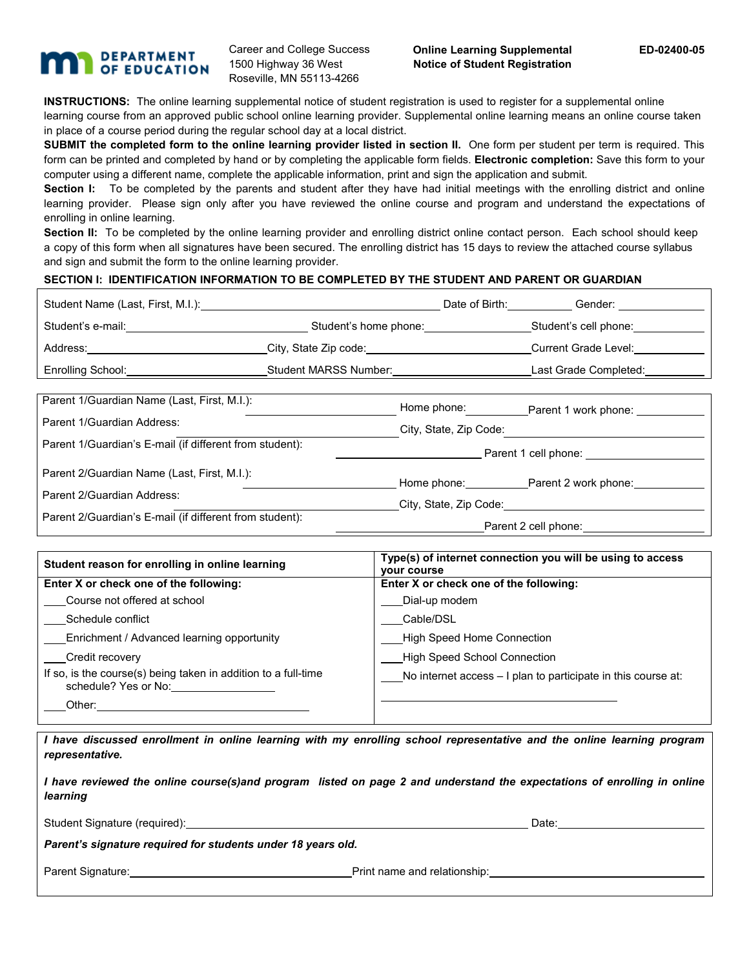## **DEPARTMENT** OF EDUCATION

Career and College Success 1500 Highway 36 West Roseville, MN 55113-4266

**INSTRUCTIONS:** The online learning supplemental notice of student registration is used to register for a supplemental online learning course from an approved public school online learning provider. Supplemental online learning means an online course taken in place of a course period during the regular school day at a local district.

**SUBMIT the completed form to the online learning provider listed in section II.** One form per student per term is required. This form can be printed and completed by hand or by completing the applicable form fields. **Electronic completion:** Save this form to your computer using a different name, complete the applicable information, print and sign the application and submit.

Section I: To be completed by the parents and student after they have had initial meetings with the enrolling district and online learning provider. Please sign only after you have reviewed the online course and program and understand the expectations of enrolling in online learning.

**Section II:** To be completed by the online learning provider and enrolling district online contact person. Each school should keep a copy of this form when all signatures have been secured. The enrolling district has 15 days to review the attached course syllabus and sign and submit the form to the online learning provider.

## **SECTION I: IDENTIFICATION INFORMATION TO BE COMPLETED BY THE STUDENT AND PARENT OR GUARDIAN**

| Student Name (Last, First, M.I.): |                              | Date of Birth: | Gender:               |
|-----------------------------------|------------------------------|----------------|-----------------------|
| Student's e-mail:                 | Student's home phone:        |                | Student's cell phone: |
| Address:                          | City, State Zip code:        |                | Current Grade Level:  |
| Enrolling School:                 | <b>Student MARSS Number:</b> |                | Last Grade Completed: |
|                                   |                              |                |                       |

| Parent 1/Guardian Name (Last, First, M.I.):             | Home phone:            | Parent 1 work phone:             |  |
|---------------------------------------------------------|------------------------|----------------------------------|--|
| Parent 1/Guardian Address:                              | City, State, Zip Code: |                                  |  |
| Parent 1/Guardian's E-mail (if different from student): | Parent 1 cell phone:   |                                  |  |
| Parent 2/Guardian Name (Last, First, M.I.):             |                        | Home phone: Parent 2 work phone: |  |
| Parent 2/Guardian Address:                              | City, State, Zip Code: |                                  |  |
| Parent 2/Guardian's E-mail (if different from student): | Parent 2 cell phone:   |                                  |  |

| Student reason for enrolling in online learning                                        | Type(s) of internet connection you will be using to access<br><b>VOUR COURSE</b> |  |  |  |
|----------------------------------------------------------------------------------------|----------------------------------------------------------------------------------|--|--|--|
| Enter X or check one of the following:                                                 | Enter X or check one of the following:                                           |  |  |  |
| Course not offered at school                                                           | Dial-up modem                                                                    |  |  |  |
| Schedule conflict                                                                      | Cable/DSL                                                                        |  |  |  |
| Enrichment / Advanced learning opportunity                                             | <b>High Speed Home Connection</b>                                                |  |  |  |
| Credit recovery                                                                        | <b>High Speed School Connection</b>                                              |  |  |  |
| If so, is the course(s) being taken in addition to a full-time<br>schedule? Yes or No: | No internet access – I plan to participate in this course at:                    |  |  |  |
| Other:                                                                                 |                                                                                  |  |  |  |

*I have discussed enrollment in online learning with my enrolling school representative and the online learning program representative.*

| I have reviewed the online course(s)and program listed on page 2 and understand the expectations of enrolling in online |  |
|-------------------------------------------------------------------------------------------------------------------------|--|
| learning                                                                                                                |  |

Student Signature (required):  $\qquad \qquad$  Date:  $\qquad \qquad$ 

*Parent's signature required for students under 18 years old.*

Parent Signature: Notice and Superint name and relationship: Notice and relationship: